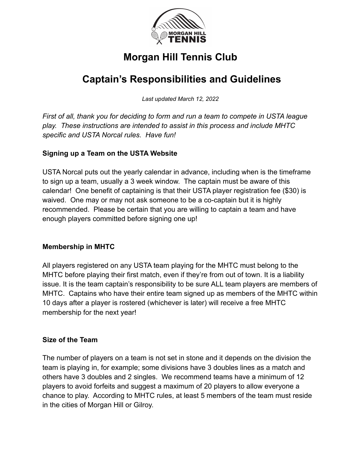

# **Morgan Hill Tennis Club**

# **Captain's Responsibilities and Guidelines**

*Last updated March 12, 2022*

*First of all, thank you for deciding to form and run a team to compete in USTA league play. These instructions are intended to assist in this process and include MHTC specific and USTA Norcal rules. Have fun!*

# **Signing up a Team on the USTA Website**

USTA Norcal puts out the yearly calendar in advance, including when is the timeframe to sign up a team, usually a 3 week window. The captain must be aware of this calendar! One benefit of captaining is that their USTA player registration fee (\$30) is waived. One may or may not ask someone to be a co-captain but it is highly recommended. Please be certain that you are willing to captain a team and have enough players committed before signing one up!

#### **Membership in MHTC**

All players registered on any USTA team playing for the MHTC must belong to the MHTC before playing their first match, even if they're from out of town. It is a liability issue. It is the team captain's responsibility to be sure ALL team players are members of MHTC. Captains who have their entire team signed up as members of the MHTC within 10 days after a player is rostered (whichever is later) will receive a free MHTC membership for the next year!

#### **Size of the Team**

The number of players on a team is not set in stone and it depends on the division the team is playing in, for example; some divisions have 3 doubles lines as a match and others have 3 doubles and 2 singles. We recommend teams have a minimum of 12 players to avoid forfeits and suggest a maximum of 20 players to allow everyone a chance to play. According to MHTC rules, at least 5 members of the team must reside in the cities of Morgan Hill or Gilroy.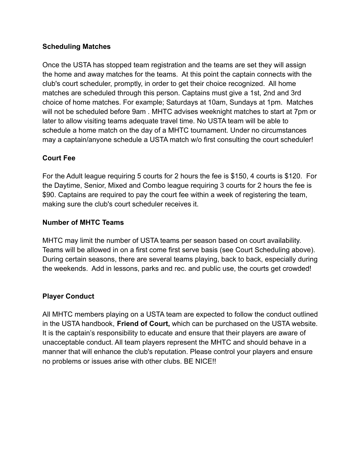## **Scheduling Matches**

Once the USTA has stopped team registration and the teams are set they will assign the home and away matches for the teams. At this point the captain connects with the club's court scheduler, promptly, in order to get their choice recognized. All home matches are scheduled through this person. Captains must give a 1st, 2nd and 3rd choice of home matches. For example; Saturdays at 10am, Sundays at 1pm. Matches will not be scheduled before 9am . MHTC advises weeknight matches to start at 7pm or later to allow visiting teams adequate travel time. No USTA team will be able to schedule a home match on the day of a MHTC tournament. Under no circumstances may a captain/anyone schedule a USTA match w/o first consulting the court scheduler!

# **Court Fee**

For the Adult league requiring 5 courts for 2 hours the fee is \$150, 4 courts is \$120. For the Daytime, Senior, Mixed and Combo league requiring 3 courts for 2 hours the fee is \$90. Captains are required to pay the court fee within a week of registering the team, making sure the club's court scheduler receives it.

## **Number of MHTC Teams**

MHTC may limit the number of USTA teams per season based on court availability. Teams will be allowed in on a first come first serve basis (see Court Scheduling above). During certain seasons, there are several teams playing, back to back, especially during the weekends. Add in lessons, parks and rec. and public use, the courts get crowded!

# **Player Conduct**

All MHTC members playing on a USTA team are expected to follow the conduct outlined in the USTA handbook, **Friend of Court,** which can be purchased on the USTA website. It is the captain's responsibility to educate and ensure that their players are aware of unacceptable conduct. All team players represent the MHTC and should behave in a manner that will enhance the club's reputation. Please control your players and ensure no problems or issues arise with other clubs. BE NICE!!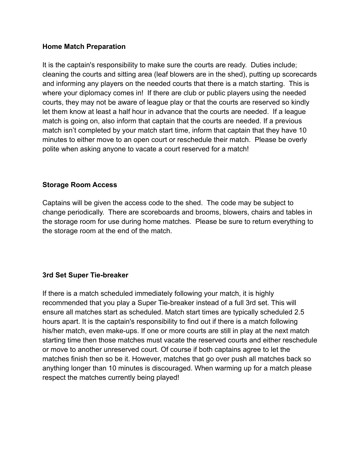### **Home Match Preparation**

It is the captain's responsibility to make sure the courts are ready. Duties include; cleaning the courts and sitting area (leaf blowers are in the shed), putting up scorecards and informing any players on the needed courts that there is a match starting. This is where your diplomacy comes in! If there are club or public players using the needed courts, they may not be aware of league play or that the courts are reserved so kindly let them know at least a half hour in advance that the courts are needed. If a league match is going on, also inform that captain that the courts are needed. If a previous match isn't completed by your match start time, inform that captain that they have 10 minutes to either move to an open court or reschedule their match. Please be overly polite when asking anyone to vacate a court reserved for a match!

## **Storage Room Access**

Captains will be given the access code to the shed. The code may be subject to change periodically. There are scoreboards and brooms, blowers, chairs and tables in the storage room for use during home matches. Please be sure to return everything to the storage room at the end of the match.

## **3rd Set Super Tie-breaker**

If there is a match scheduled immediately following your match, it is highly recommended that you play a Super Tie-breaker instead of a full 3rd set. This will ensure all matches start as scheduled. Match start times are typically scheduled 2.5 hours apart. It is the captain's responsibility to find out if there is a match following his/her match, even make-ups. If one or more courts are still in play at the next match starting time then those matches must vacate the reserved courts and either reschedule or move to another unreserved court. Of course if both captains agree to let the matches finish then so be it. However, matches that go over push all matches back so anything longer than 10 minutes is discouraged. When warming up for a match please respect the matches currently being played!